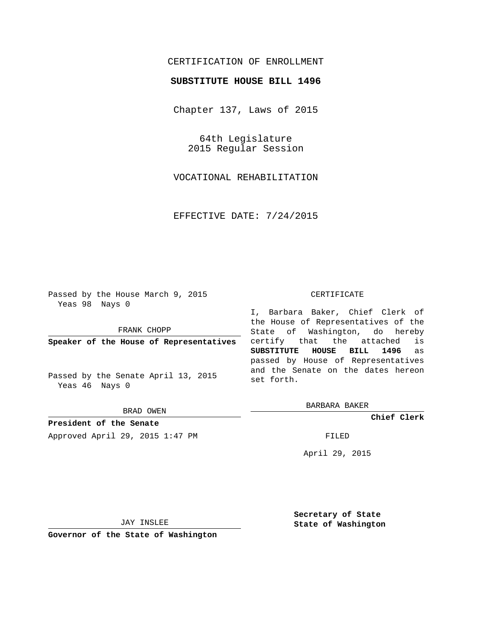## CERTIFICATION OF ENROLLMENT

## **SUBSTITUTE HOUSE BILL 1496**

Chapter 137, Laws of 2015

64th Legislature 2015 Regular Session

VOCATIONAL REHABILITATION

EFFECTIVE DATE: 7/24/2015

Passed by the House March 9, 2015 Yeas 98 Nays 0

FRANK CHOPP

**Speaker of the House of Representatives**

Passed by the Senate April 13, 2015 Yeas 46 Nays 0

BRAD OWEN

**President of the Senate** Approved April 29, 2015 1:47 PM FILED

## CERTIFICATE

I, Barbara Baker, Chief Clerk of the House of Representatives of the State of Washington, do hereby certify that the attached is **SUBSTITUTE HOUSE BILL 1496** as passed by House of Representatives and the Senate on the dates hereon set forth.

BARBARA BAKER

**Chief Clerk**

April 29, 2015

JAY INSLEE

**Governor of the State of Washington**

**Secretary of State State of Washington**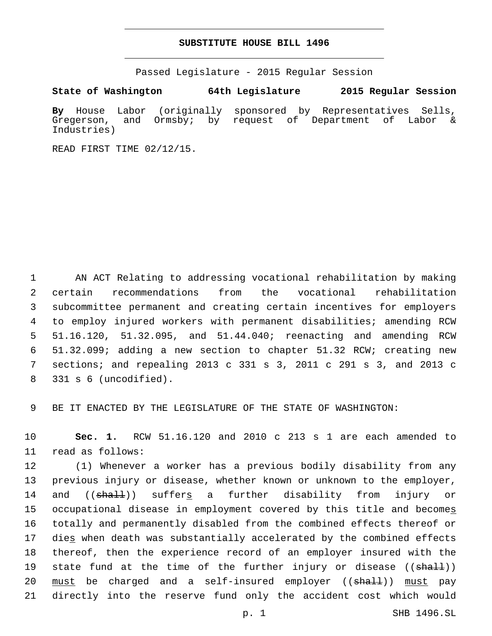## **SUBSTITUTE HOUSE BILL 1496**

Passed Legislature - 2015 Regular Session

**State of Washington 64th Legislature 2015 Regular Session**

**By** House Labor (originally sponsored by Representatives Sells, Gregerson, and Ormsby; by request of Department of Labor & Industries)

READ FIRST TIME 02/12/15.

 AN ACT Relating to addressing vocational rehabilitation by making certain recommendations from the vocational rehabilitation subcommittee permanent and creating certain incentives for employers to employ injured workers with permanent disabilities; amending RCW 51.16.120, 51.32.095, and 51.44.040; reenacting and amending RCW 51.32.099; adding a new section to chapter 51.32 RCW; creating new sections; and repealing 2013 c 331 s 3, 2011 c 291 s 3, and 2013 c 331 s 6 (uncodified).8

9 BE IT ENACTED BY THE LEGISLATURE OF THE STATE OF WASHINGTON:

10 **Sec. 1.** RCW 51.16.120 and 2010 c 213 s 1 are each amended to 11 read as follows:

12 (1) Whenever a worker has a previous bodily disability from any 13 previous injury or disease, whether known or unknown to the employer, 14 and ((shall)) suffers a further disability from injury or 15 occupational disease in employment covered by this title and becomes 16 totally and permanently disabled from the combined effects thereof or 17 dies when death was substantially accelerated by the combined effects 18 thereof, then the experience record of an employer insured with the 19 state fund at the time of the further injury or disease ((<del>shall</del>)) 20 <u>must</u> be charged and a self-insured employer ((shall)) must pay 21 directly into the reserve fund only the accident cost which would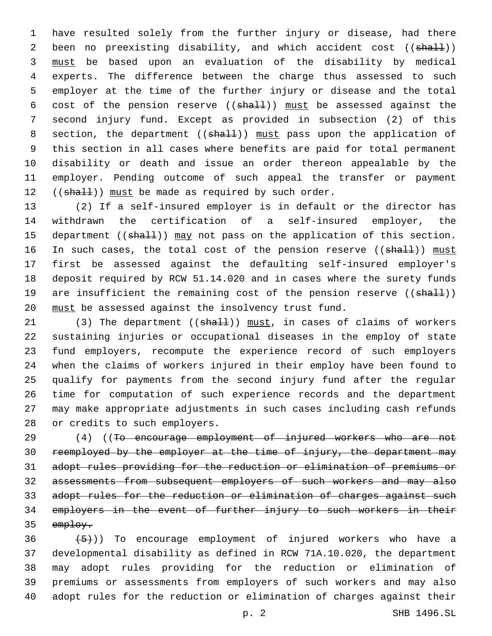have resulted solely from the further injury or disease, had there 2 been no preexisting disability, and which accident cost ((shall)) must be based upon an evaluation of the disability by medical experts. The difference between the charge thus assessed to such employer at the time of the further injury or disease and the total 6 cost of the pension reserve  $((shall))$  must be assessed against the second injury fund. Except as provided in subsection (2) of this 8 section, the department ((shall)) must pass upon the application of this section in all cases where benefits are paid for total permanent disability or death and issue an order thereon appealable by the employer. Pending outcome of such appeal the transfer or payment  $((shall))$  must be made as required by such order.

 (2) If a self-insured employer is in default or the director has withdrawn the certification of a self-insured employer, the 15 department ((shall)) may not pass on the application of this section. 16 In such cases, the total cost of the pension reserve ((shall)) must first be assessed against the defaulting self-insured employer's deposit required by RCW 51.14.020 and in cases where the surety funds 19 are insufficient the remaining cost of the pension reserve ((shall)) must be assessed against the insolvency trust fund.

21 (3) The department ((shall)) must, in cases of claims of workers sustaining injuries or occupational diseases in the employ of state fund employers, recompute the experience record of such employers when the claims of workers injured in their employ have been found to qualify for payments from the second injury fund after the regular time for computation of such experience records and the department may make appropriate adjustments in such cases including cash refunds 28 or credits to such employers.

29 (4) ((To encourage employment of injured workers who are not reemployed by the employer at the time of injury, the department may adopt rules providing for the reduction or elimination of premiums or assessments from subsequent employers of such workers and may also adopt rules for the reduction or elimination of charges against such employers in the event of further injury to such workers in their 35 employ.

 $(36 \leftarrow \{5\})$ ) To encourage employment of injured workers who have a developmental disability as defined in RCW 71A.10.020, the department may adopt rules providing for the reduction or elimination of premiums or assessments from employers of such workers and may also adopt rules for the reduction or elimination of charges against their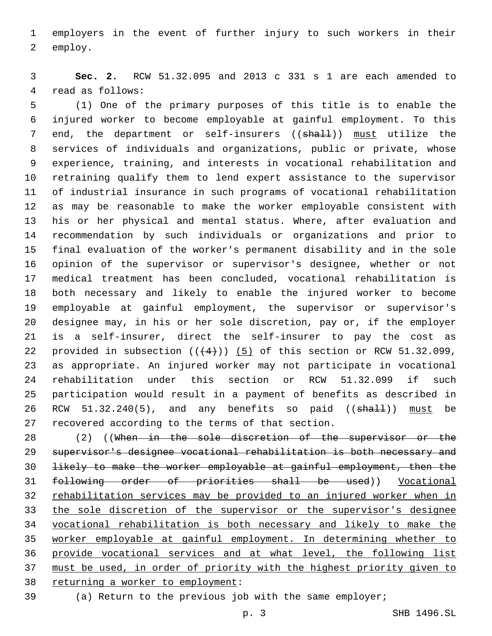employers in the event of further injury to such workers in their 2 employ.

 **Sec. 2.** RCW 51.32.095 and 2013 c 331 s 1 are each amended to 4 read as follows:

 (1) One of the primary purposes of this title is to enable the injured worker to become employable at gainful employment. To this 7 end, the department or self-insurers ((shall)) must utilize the services of individuals and organizations, public or private, whose experience, training, and interests in vocational rehabilitation and retraining qualify them to lend expert assistance to the supervisor of industrial insurance in such programs of vocational rehabilitation as may be reasonable to make the worker employable consistent with his or her physical and mental status. Where, after evaluation and recommendation by such individuals or organizations and prior to final evaluation of the worker's permanent disability and in the sole opinion of the supervisor or supervisor's designee, whether or not medical treatment has been concluded, vocational rehabilitation is both necessary and likely to enable the injured worker to become employable at gainful employment, the supervisor or supervisor's designee may, in his or her sole discretion, pay or, if the employer is a self-insurer, direct the self-insurer to pay the cost as 22 provided in subsection  $((+4))$   $(5)$  of this section or RCW 51.32.099, as appropriate. An injured worker may not participate in vocational rehabilitation under this section or RCW 51.32.099 if such participation would result in a payment of benefits as described in 26 RCW 51.32.240(5), and any benefits so paid ((shall)) must be 27 recovered according to the terms of that section.

28 (2) ((When in the sole discretion of the supervisor or the supervisor's designee vocational rehabilitation is both necessary and likely to make the worker employable at gainful employment, then the following order of priorities shall be used)) Vocational rehabilitation services may be provided to an injured worker when in the sole discretion of the supervisor or the supervisor's designee vocational rehabilitation is both necessary and likely to make the worker employable at gainful employment. In determining whether to provide vocational services and at what level, the following list must be used, in order of priority with the highest priority given to 38 returning a worker to employment:

(a) Return to the previous job with the same employer;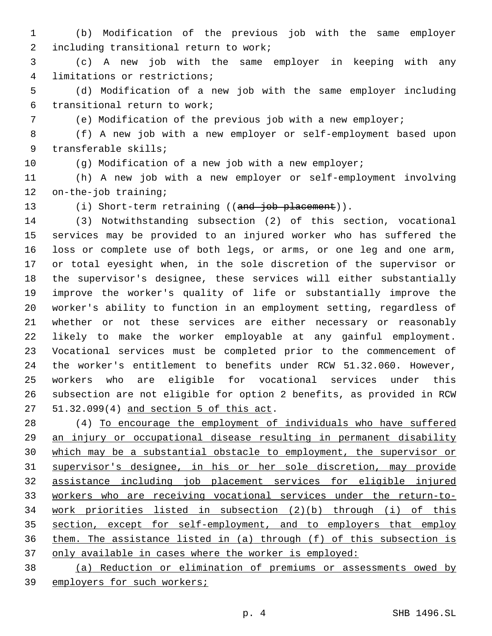(b) Modification of the previous job with the same employer 2 including transitional return to work;

 (c) A new job with the same employer in keeping with any 4 limitations or restrictions;

 (d) Modification of a new job with the same employer including 6 transitional return to work;

(e) Modification of the previous job with a new employer;

 (f) A new job with a new employer or self-employment based upon 9 transferable skills;

(g) Modification of a new job with a new employer;

 (h) A new job with a new employer or self-employment involving 12 on-the-job training;

13 (i) Short-term retraining ((and job placement)).

 (3) Notwithstanding subsection (2) of this section, vocational services may be provided to an injured worker who has suffered the loss or complete use of both legs, or arms, or one leg and one arm, or total eyesight when, in the sole discretion of the supervisor or the supervisor's designee, these services will either substantially improve the worker's quality of life or substantially improve the worker's ability to function in an employment setting, regardless of whether or not these services are either necessary or reasonably likely to make the worker employable at any gainful employment. Vocational services must be completed prior to the commencement of the worker's entitlement to benefits under RCW 51.32.060. However, workers who are eligible for vocational services under this subsection are not eligible for option 2 benefits, as provided in RCW 27 51.32.099(4) and section 5 of this act.

 (4) To encourage the employment of individuals who have suffered an injury or occupational disease resulting in permanent disability which may be a substantial obstacle to employment, the supervisor or supervisor's designee, in his or her sole discretion, may provide assistance including job placement services for eligible injured workers who are receiving vocational services under the return-to- work priorities listed in subsection (2)(b) through (i) of this section, except for self-employment, and to employers that employ them. The assistance listed in (a) through (f) of this subsection is 37 only available in cases where the worker is employed:

 (a) Reduction or elimination of premiums or assessments owed by employers for such workers;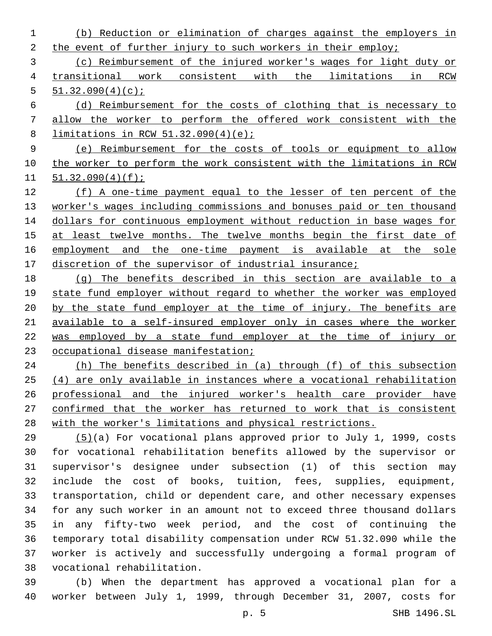(b) Reduction or elimination of charges against the employers in 2 the event of further injury to such workers in their employ; (c) Reimbursement of the injured worker's wages for light duty or transitional work consistent with the limitations in RCW  $51.32.090(4)(c)$ ; (d) Reimbursement for the costs of clothing that is necessary to allow the worker to perform the offered work consistent with the limitations in RCW 51.32.090(4)(e); (e) Reimbursement for the costs of tools or equipment to allow the worker to perform the work consistent with the limitations in RCW 51.32.090(4)(f); (f) A one-time payment equal to the lesser of ten percent of the worker's wages including commissions and bonuses paid or ten thousand dollars for continuous employment without reduction in base wages for 15 at least twelve months. The twelve months begin the first date of employment and the one-time payment is available at the sole 17 discretion of the supervisor of industrial insurance; (g) The benefits described in this section are available to a state fund employer without regard to whether the worker was employed 20 by the state fund employer at the time of injury. The benefits are available to a self-insured employer only in cases where the worker was employed by a state fund employer at the time of injury or occupational disease manifestation; (h) The benefits described in (a) through (f) of this subsection (4) are only available in instances where a vocational rehabilitation professional and the injured worker's health care provider have

with the worker's limitations and physical restrictions.

 (5)(a) For vocational plans approved prior to July 1, 1999, costs for vocational rehabilitation benefits allowed by the supervisor or supervisor's designee under subsection (1) of this section may include the cost of books, tuition, fees, supplies, equipment, transportation, child or dependent care, and other necessary expenses for any such worker in an amount not to exceed three thousand dollars in any fifty-two week period, and the cost of continuing the temporary total disability compensation under RCW 51.32.090 while the worker is actively and successfully undergoing a formal program of vocational rehabilitation.38

confirmed that the worker has returned to work that is consistent

 (b) When the department has approved a vocational plan for a worker between July 1, 1999, through December 31, 2007, costs for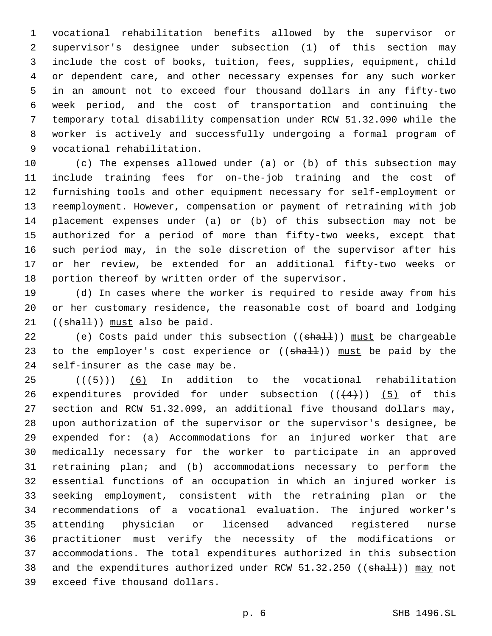vocational rehabilitation benefits allowed by the supervisor or supervisor's designee under subsection (1) of this section may include the cost of books, tuition, fees, supplies, equipment, child or dependent care, and other necessary expenses for any such worker in an amount not to exceed four thousand dollars in any fifty-two week period, and the cost of transportation and continuing the temporary total disability compensation under RCW 51.32.090 while the worker is actively and successfully undergoing a formal program of 9 vocational rehabilitation.

 (c) The expenses allowed under (a) or (b) of this subsection may include training fees for on-the-job training and the cost of furnishing tools and other equipment necessary for self-employment or reemployment. However, compensation or payment of retraining with job placement expenses under (a) or (b) of this subsection may not be authorized for a period of more than fifty-two weeks, except that such period may, in the sole discretion of the supervisor after his or her review, be extended for an additional fifty-two weeks or portion thereof by written order of the supervisor.

 (d) In cases where the worker is required to reside away from his or her customary residence, the reasonable cost of board and lodging (( $shall$ )) must also be paid.

22 (e) Costs paid under this subsection ( $(\text{shalt})$ ) must be chargeable 23 to the employer's cost experience or ((shall)) must be paid by the 24 self-insurer as the case may be.

 $((+5+))$   $(6)$  In addition to the vocational rehabilitation 26 expenditures provided for under subsection  $((+4))$  (5) of this section and RCW 51.32.099, an additional five thousand dollars may, upon authorization of the supervisor or the supervisor's designee, be expended for: (a) Accommodations for an injured worker that are medically necessary for the worker to participate in an approved retraining plan; and (b) accommodations necessary to perform the essential functions of an occupation in which an injured worker is seeking employment, consistent with the retraining plan or the recommendations of a vocational evaluation. The injured worker's attending physician or licensed advanced registered nurse practitioner must verify the necessity of the modifications or accommodations. The total expenditures authorized in this subsection 38 and the expenditures authorized under RCW 51.32.250 ((shall)) may not 39 exceed five thousand dollars.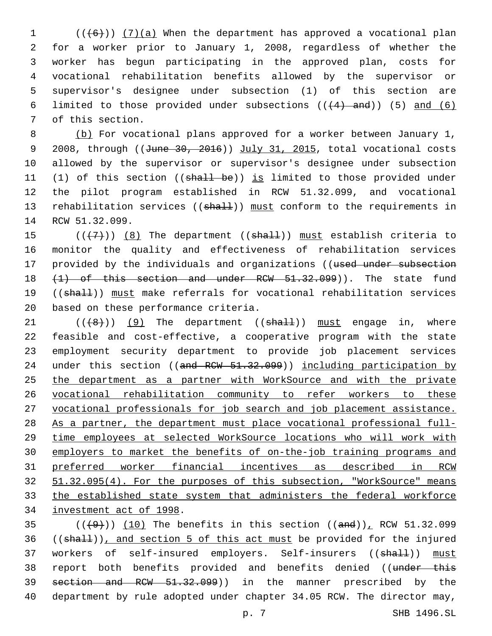(( $(6)$ )) (7)(a) When the department has approved a vocational plan for a worker prior to January 1, 2008, regardless of whether the worker has begun participating in the approved plan, costs for vocational rehabilitation benefits allowed by the supervisor or supervisor's designee under subsection (1) of this section are 6 limited to those provided under subsections  $((+4)$  and)) (5) and (6) 7 of this section.

8 (b) For vocational plans approved for a worker between January 1, 9 2008, through ((June 30, 2016)) July 31, 2015, total vocational costs 10 allowed by the supervisor or supervisor's designee under subsection 11 (1) of this section ((shall be)) is limited to those provided under 12 the pilot program established in RCW 51.32.099, and vocational 13 rehabilitation services ((shall)) must conform to the requirements in 14 RCW 51.32.099.

15  $((+7+))$  (8) The department (( $\frac{1}{2}$ )) must establish criteria to 16 monitor the quality and effectiveness of rehabilitation services 17 provided by the individuals and organizations ((used under subsection 18 (1) of this section and under RCW 51.32.099)). The state fund 19 ((shall)) must make referrals for vocational rehabilitation services 20 based on these performance criteria.

 $((+8))$  (9) The department (( $\frac{1}{10}$ ) must engage in, where feasible and cost-effective, a cooperative program with the state employment security department to provide job placement services 24 under this section ((and RCW 51.32.099)) including participation by the department as a partner with WorkSource and with the private vocational rehabilitation community to refer workers to these vocational professionals for job search and job placement assistance. As a partner, the department must place vocational professional full- time employees at selected WorkSource locations who will work with employers to market the benefits of on-the-job training programs and preferred worker financial incentives as described in RCW 51.32.095(4). For the purposes of this subsection, "WorkSource" means the established state system that administers the federal workforce 34 investment act of 1998.

 $(1)(10)$  The benefits in this section  $((and))$ , RCW 51.32.099  $36$  ((shall)), and section 5 of this act must be provided for the injured 37 workers of self-insured employers. Self-insurers ((shall)) must 38 report both benefits provided and benefits denied ((under this 39 section and RCW 51.32.099)) in the manner prescribed by the 40 department by rule adopted under chapter 34.05 RCW. The director may,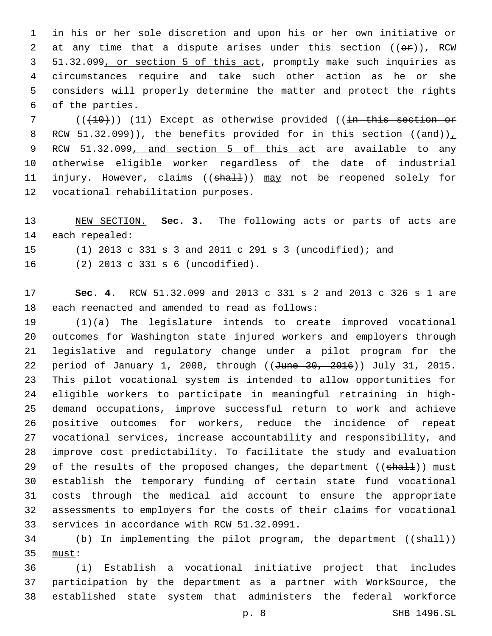in his or her sole discretion and upon his or her own initiative or 2 at any time that a dispute arises under this section  $((\theta \cdot \hat{r}))_T$  RCW 51.32.099, or section 5 of this act, promptly make such inquiries as circumstances require and take such other action as he or she considers will properly determine the matter and protect the rights 6 of the parties.

 (( $(10)$ )) (11) Except as otherwise provided ((in this section or 8 RCW  $51.32.099$ ), the benefits provided for in this section ((and)) RCW 51.32.099, and section 5 of this act are available to any otherwise eligible worker regardless of the date of industrial 11 injury. However, claims ((shall)) may not be reopened solely for 12 vocational rehabilitation purposes.

 NEW SECTION. **Sec. 3.** The following acts or parts of acts are each repealed:

(1) 2013 c 331 s 3 and 2011 c 291 s 3 (uncodified); and

(2) 2013 c 331 s 6 (uncodified).16

 **Sec. 4.** RCW 51.32.099 and 2013 c 331 s 2 and 2013 c 326 s 1 are 18 each reenacted and amended to read as follows:

 (1)(a) The legislature intends to create improved vocational outcomes for Washington state injured workers and employers through legislative and regulatory change under a pilot program for the 22 period of January 1, 2008, through ((June 30, 2016)) July 31, 2015. This pilot vocational system is intended to allow opportunities for eligible workers to participate in meaningful retraining in high- demand occupations, improve successful return to work and achieve positive outcomes for workers, reduce the incidence of repeat vocational services, increase accountability and responsibility, and improve cost predictability. To facilitate the study and evaluation 29 of the results of the proposed changes, the department ((shall)) must establish the temporary funding of certain state fund vocational costs through the medical aid account to ensure the appropriate assessments to employers for the costs of their claims for vocational 33 services in accordance with RCW 51.32.0991.

34 (b) In implementing the pilot program, the department ((shall)) 35 must:

 (i) Establish a vocational initiative project that includes participation by the department as a partner with WorkSource, the established state system that administers the federal workforce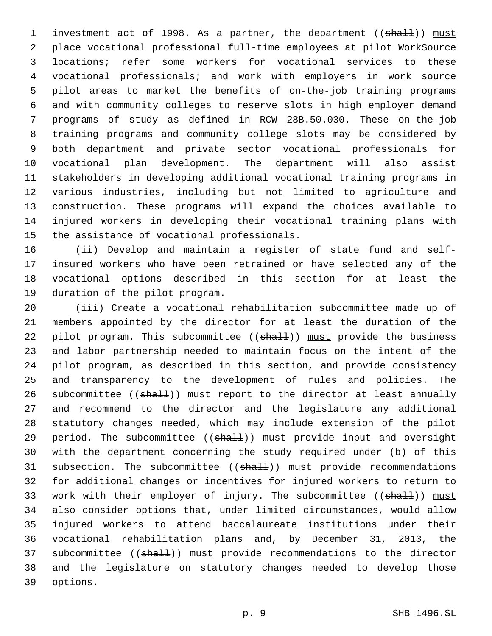1 investment act of 1998. As a partner, the department ((shall)) must place vocational professional full-time employees at pilot WorkSource locations; refer some workers for vocational services to these vocational professionals; and work with employers in work source pilot areas to market the benefits of on-the-job training programs and with community colleges to reserve slots in high employer demand programs of study as defined in RCW 28B.50.030. These on-the-job training programs and community college slots may be considered by both department and private sector vocational professionals for vocational plan development. The department will also assist stakeholders in developing additional vocational training programs in various industries, including but not limited to agriculture and construction. These programs will expand the choices available to injured workers in developing their vocational training plans with 15 the assistance of vocational professionals.

 (ii) Develop and maintain a register of state fund and self- insured workers who have been retrained or have selected any of the vocational options described in this section for at least the 19 duration of the pilot program.

 (iii) Create a vocational rehabilitation subcommittee made up of members appointed by the director for at least the duration of the 22 pilot program. This subcommittee  $((shall))$  must provide the business and labor partnership needed to maintain focus on the intent of the pilot program, as described in this section, and provide consistency and transparency to the development of rules and policies. The 26 subcommittee ((shall)) must report to the director at least annually and recommend to the director and the legislature any additional statutory changes needed, which may include extension of the pilot 29 period. The subcommittee ((shall)) must provide input and oversight with the department concerning the study required under (b) of this 31 subsection. The subcommittee ((shall)) must provide recommendations for additional changes or incentives for injured workers to return to 33 work with their employer of injury. The subcommittee ((shall)) must also consider options that, under limited circumstances, would allow injured workers to attend baccalaureate institutions under their vocational rehabilitation plans and, by December 31, 2013, the 37 subcommittee ((shall)) must provide recommendations to the director and the legislature on statutory changes needed to develop those 39 options.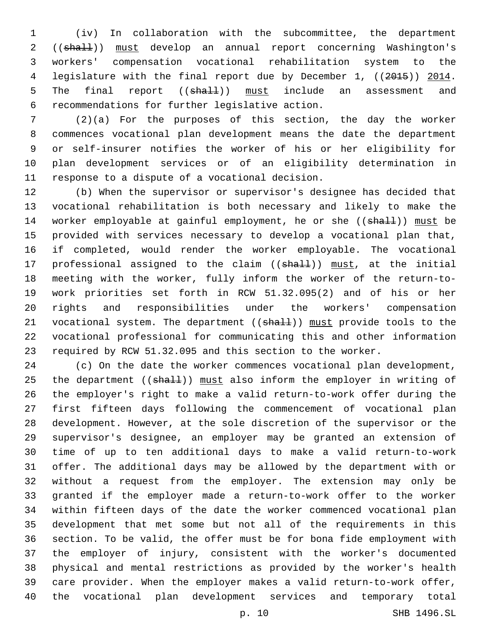(iv) In collaboration with the subcommittee, the department 2 ((shall)) must develop an annual report concerning Washington's workers' compensation vocational rehabilitation system to the 4 legislature with the final report due by December 1, ((2015)) 2014. 5 The final report ((shall)) must include an assessment and recommendations for further legislative action.6

 (2)(a) For the purposes of this section, the day the worker commences vocational plan development means the date the department or self-insurer notifies the worker of his or her eligibility for plan development services or of an eligibility determination in 11 response to a dispute of a vocational decision.

 (b) When the supervisor or supervisor's designee has decided that vocational rehabilitation is both necessary and likely to make the 14 worker employable at gainful employment, he or she ((shall)) must be provided with services necessary to develop a vocational plan that, if completed, would render the worker employable. The vocational 17 professional assigned to the claim ((shall)) must, at the initial meeting with the worker, fully inform the worker of the return-to- work priorities set forth in RCW 51.32.095(2) and of his or her rights and responsibilities under the workers' compensation 21 vocational system. The department ((shall)) must provide tools to the vocational professional for communicating this and other information required by RCW 51.32.095 and this section to the worker.

 (c) On the date the worker commences vocational plan development, 25 the department ((shall)) must also inform the employer in writing of the employer's right to make a valid return-to-work offer during the first fifteen days following the commencement of vocational plan development. However, at the sole discretion of the supervisor or the supervisor's designee, an employer may be granted an extension of time of up to ten additional days to make a valid return-to-work offer. The additional days may be allowed by the department with or without a request from the employer. The extension may only be granted if the employer made a return-to-work offer to the worker within fifteen days of the date the worker commenced vocational plan development that met some but not all of the requirements in this section. To be valid, the offer must be for bona fide employment with the employer of injury, consistent with the worker's documented physical and mental restrictions as provided by the worker's health care provider. When the employer makes a valid return-to-work offer, the vocational plan development services and temporary total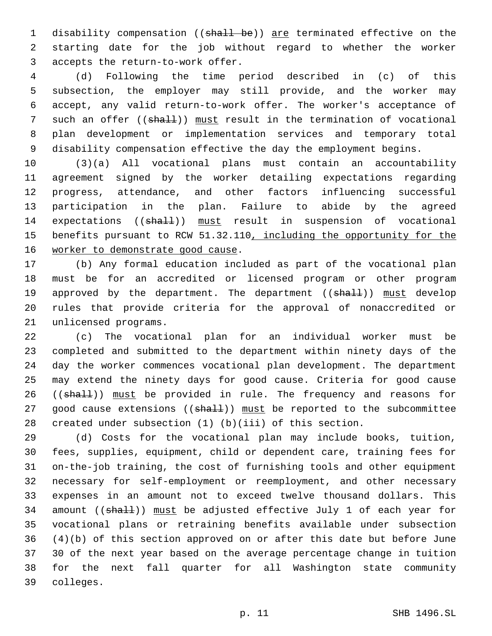1 disability compensation ((shall be)) are terminated effective on the starting date for the job without regard to whether the worker 3 accepts the return-to-work offer.

 (d) Following the time period described in (c) of this subsection, the employer may still provide, and the worker may accept, any valid return-to-work offer. The worker's acceptance of 7 such an offer ((shall)) must result in the termination of vocational plan development or implementation services and temporary total disability compensation effective the day the employment begins.

 (3)(a) All vocational plans must contain an accountability agreement signed by the worker detailing expectations regarding progress, attendance, and other factors influencing successful participation in the plan. Failure to abide by the agreed 14 expectations ((shall)) must result in suspension of vocational benefits pursuant to RCW 51.32.110, including the opportunity for the 16 worker to demonstrate good cause.

 (b) Any formal education included as part of the vocational plan must be for an accredited or licensed program or other program 19 approved by the department. The department ((shall)) must develop rules that provide criteria for the approval of nonaccredited or 21 unlicensed programs.

 (c) The vocational plan for an individual worker must be completed and submitted to the department within ninety days of the day the worker commences vocational plan development. The department may extend the ninety days for good cause. Criteria for good cause 26 ((shall)) must be provided in rule. The frequency and reasons for 27 good cause extensions ((shall)) must be reported to the subcommittee created under subsection (1) (b)(iii) of this section.

 (d) Costs for the vocational plan may include books, tuition, fees, supplies, equipment, child or dependent care, training fees for on-the-job training, the cost of furnishing tools and other equipment necessary for self-employment or reemployment, and other necessary expenses in an amount not to exceed twelve thousand dollars. This 34 amount ((shall)) must be adjusted effective July 1 of each year for vocational plans or retraining benefits available under subsection (4)(b) of this section approved on or after this date but before June 30 of the next year based on the average percentage change in tuition for the next fall quarter for all Washington state community colleges.39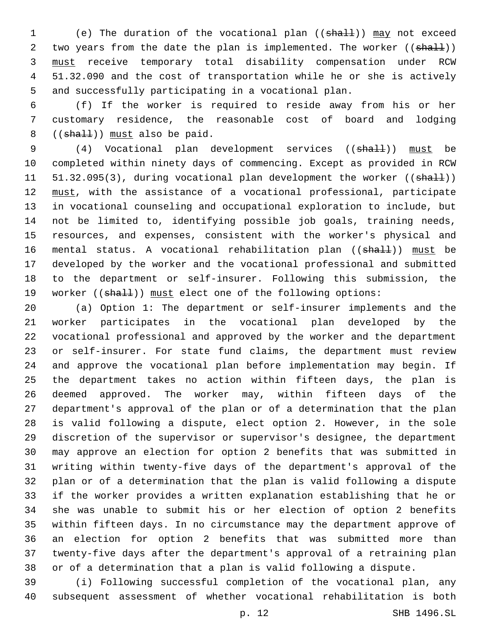(e) The duration of the vocational plan ((shall)) may not exceed 2 two years from the date the plan is implemented. The worker ((shall)) must receive temporary total disability compensation under RCW 51.32.090 and the cost of transportation while he or she is actively and successfully participating in a vocational plan.

 (f) If the worker is required to reside away from his or her customary residence, the reasonable cost of board and lodging (( $shall$ )) must also be paid.

9 (4) Vocational plan development services ((shall)) must be completed within ninety days of commencing. Except as provided in RCW 11 51.32.095(3), during vocational plan development the worker ((shall)) 12 must, with the assistance of a vocational professional, participate in vocational counseling and occupational exploration to include, but not be limited to, identifying possible job goals, training needs, resources, and expenses, consistent with the worker's physical and 16 mental status. A vocational rehabilitation plan ((shall)) must be developed by the worker and the vocational professional and submitted to the department or self-insurer. Following this submission, the 19 worker ((shall)) must elect one of the following options:

 (a) Option 1: The department or self-insurer implements and the worker participates in the vocational plan developed by the vocational professional and approved by the worker and the department or self-insurer. For state fund claims, the department must review and approve the vocational plan before implementation may begin. If the department takes no action within fifteen days, the plan is deemed approved. The worker may, within fifteen days of the department's approval of the plan or of a determination that the plan is valid following a dispute, elect option 2. However, in the sole discretion of the supervisor or supervisor's designee, the department may approve an election for option 2 benefits that was submitted in writing within twenty-five days of the department's approval of the plan or of a determination that the plan is valid following a dispute if the worker provides a written explanation establishing that he or she was unable to submit his or her election of option 2 benefits within fifteen days. In no circumstance may the department approve of an election for option 2 benefits that was submitted more than twenty-five days after the department's approval of a retraining plan or of a determination that a plan is valid following a dispute.

 (i) Following successful completion of the vocational plan, any subsequent assessment of whether vocational rehabilitation is both

p. 12 SHB 1496.SL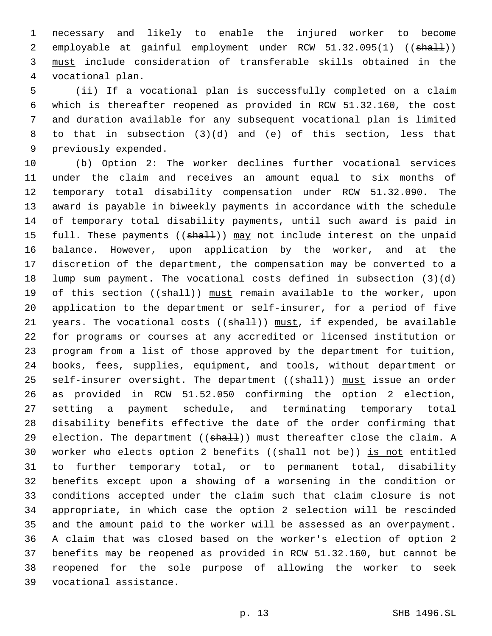necessary and likely to enable the injured worker to become 2 employable at gainful employment under RCW 51.32.095(1) ((shall)) must include consideration of transferable skills obtained in the vocational plan.4

 (ii) If a vocational plan is successfully completed on a claim which is thereafter reopened as provided in RCW 51.32.160, the cost and duration available for any subsequent vocational plan is limited to that in subsection (3)(d) and (e) of this section, less that 9 previously expended.

 (b) Option 2: The worker declines further vocational services under the claim and receives an amount equal to six months of temporary total disability compensation under RCW 51.32.090. The award is payable in biweekly payments in accordance with the schedule of temporary total disability payments, until such award is paid in 15 full. These payments ((shall)) may not include interest on the unpaid balance. However, upon application by the worker, and at the discretion of the department, the compensation may be converted to a lump sum payment. The vocational costs defined in subsection (3)(d) 19 of this section ((shall)) must remain available to the worker, upon application to the department or self-insurer, for a period of five 21 years. The vocational costs  $((shall))$  must, if expended, be available for programs or courses at any accredited or licensed institution or program from a list of those approved by the department for tuition, books, fees, supplies, equipment, and tools, without department or 25 self-insurer oversight. The department ((shall)) must issue an order as provided in RCW 51.52.050 confirming the option 2 election, setting a payment schedule, and terminating temporary total disability benefits effective the date of the order confirming that 29 election. The department  $((sha11))$  must thereafter close the claim. A 30 worker who elects option 2 benefits ((shall not be)) is not entitled to further temporary total, or to permanent total, disability benefits except upon a showing of a worsening in the condition or conditions accepted under the claim such that claim closure is not appropriate, in which case the option 2 selection will be rescinded and the amount paid to the worker will be assessed as an overpayment. A claim that was closed based on the worker's election of option 2 benefits may be reopened as provided in RCW 51.32.160, but cannot be reopened for the sole purpose of allowing the worker to seek 39 vocational assistance.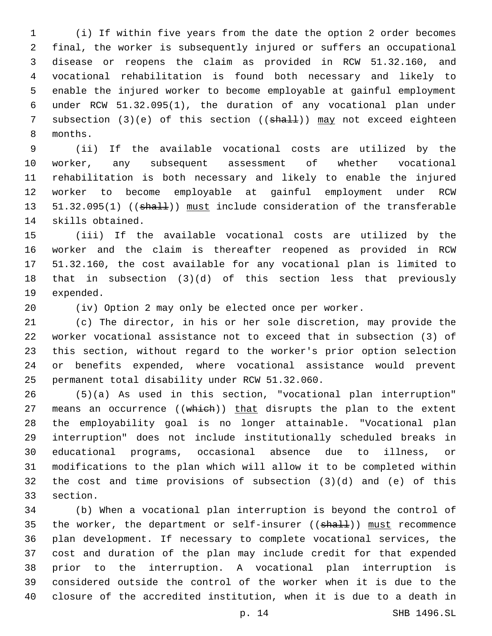(i) If within five years from the date the option 2 order becomes final, the worker is subsequently injured or suffers an occupational disease or reopens the claim as provided in RCW 51.32.160, and vocational rehabilitation is found both necessary and likely to enable the injured worker to become employable at gainful employment under RCW 51.32.095(1), the duration of any vocational plan under 7 subsection (3)(e) of this section ((shall)) may not exceed eighteen 8 months.

 (ii) If the available vocational costs are utilized by the worker, any subsequent assessment of whether vocational rehabilitation is both necessary and likely to enable the injured worker to become employable at gainful employment under RCW 13 51.32.095(1) ((shall)) must include consideration of the transferable 14 skills obtained.

 (iii) If the available vocational costs are utilized by the worker and the claim is thereafter reopened as provided in RCW 51.32.160, the cost available for any vocational plan is limited to that in subsection (3)(d) of this section less that previously 19 expended.

(iv) Option 2 may only be elected once per worker.

 (c) The director, in his or her sole discretion, may provide the worker vocational assistance not to exceed that in subsection (3) of this section, without regard to the worker's prior option selection or benefits expended, where vocational assistance would prevent 25 permanent total disability under RCW 51.32.060.

 (5)(a) As used in this section, "vocational plan interruption" 27 means an occurrence ((which)) that disrupts the plan to the extent the employability goal is no longer attainable. "Vocational plan interruption" does not include institutionally scheduled breaks in educational programs, occasional absence due to illness, or modifications to the plan which will allow it to be completed within the cost and time provisions of subsection (3)(d) and (e) of this 33 section.

 (b) When a vocational plan interruption is beyond the control of 35 the worker, the department or self-insurer ((shall)) must recommence plan development. If necessary to complete vocational services, the cost and duration of the plan may include credit for that expended prior to the interruption. A vocational plan interruption is considered outside the control of the worker when it is due to the closure of the accredited institution, when it is due to a death in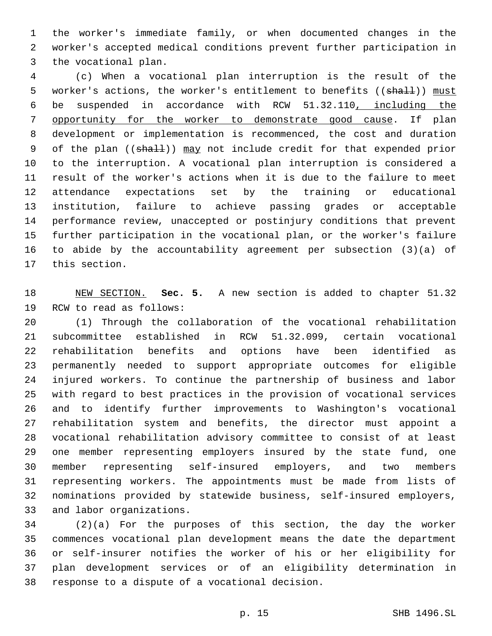the worker's immediate family, or when documented changes in the worker's accepted medical conditions prevent further participation in 3 the vocational plan.

 (c) When a vocational plan interruption is the result of the 5 worker's actions, the worker's entitlement to benefits ((shall)) must be suspended in accordance with RCW 51.32.110, including the opportunity for the worker to demonstrate good cause. If plan development or implementation is recommenced, the cost and duration 9 of the plan ((shall)) may not include credit for that expended prior to the interruption. A vocational plan interruption is considered a result of the worker's actions when it is due to the failure to meet attendance expectations set by the training or educational institution, failure to achieve passing grades or acceptable performance review, unaccepted or postinjury conditions that prevent further participation in the vocational plan, or the worker's failure to abide by the accountability agreement per subsection (3)(a) of 17 this section.

 NEW SECTION. **Sec. 5.** A new section is added to chapter 51.32 19 RCW to read as follows:

 (1) Through the collaboration of the vocational rehabilitation subcommittee established in RCW 51.32.099, certain vocational rehabilitation benefits and options have been identified as permanently needed to support appropriate outcomes for eligible injured workers. To continue the partnership of business and labor with regard to best practices in the provision of vocational services and to identify further improvements to Washington's vocational rehabilitation system and benefits, the director must appoint a vocational rehabilitation advisory committee to consist of at least one member representing employers insured by the state fund, one member representing self-insured employers, and two members representing workers. The appointments must be made from lists of nominations provided by statewide business, self-insured employers, 33 and labor organizations.

 (2)(a) For the purposes of this section, the day the worker commences vocational plan development means the date the department or self-insurer notifies the worker of his or her eligibility for plan development services or of an eligibility determination in 38 response to a dispute of a vocational decision.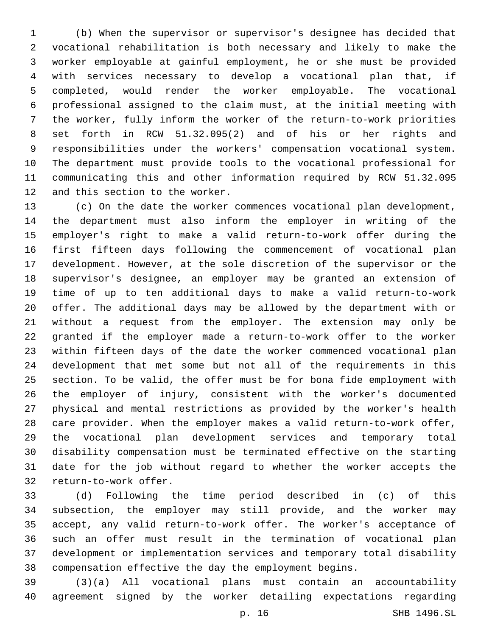(b) When the supervisor or supervisor's designee has decided that vocational rehabilitation is both necessary and likely to make the worker employable at gainful employment, he or she must be provided with services necessary to develop a vocational plan that, if completed, would render the worker employable. The vocational professional assigned to the claim must, at the initial meeting with the worker, fully inform the worker of the return-to-work priorities set forth in RCW 51.32.095(2) and of his or her rights and responsibilities under the workers' compensation vocational system. The department must provide tools to the vocational professional for communicating this and other information required by RCW 51.32.095 12 and this section to the worker.

 (c) On the date the worker commences vocational plan development, the department must also inform the employer in writing of the employer's right to make a valid return-to-work offer during the first fifteen days following the commencement of vocational plan development. However, at the sole discretion of the supervisor or the supervisor's designee, an employer may be granted an extension of time of up to ten additional days to make a valid return-to-work offer. The additional days may be allowed by the department with or without a request from the employer. The extension may only be granted if the employer made a return-to-work offer to the worker within fifteen days of the date the worker commenced vocational plan development that met some but not all of the requirements in this section. To be valid, the offer must be for bona fide employment with the employer of injury, consistent with the worker's documented physical and mental restrictions as provided by the worker's health care provider. When the employer makes a valid return-to-work offer, the vocational plan development services and temporary total disability compensation must be terminated effective on the starting date for the job without regard to whether the worker accepts the 32 return-to-work offer.

 (d) Following the time period described in (c) of this subsection, the employer may still provide, and the worker may accept, any valid return-to-work offer. The worker's acceptance of such an offer must result in the termination of vocational plan development or implementation services and temporary total disability compensation effective the day the employment begins.

 (3)(a) All vocational plans must contain an accountability agreement signed by the worker detailing expectations regarding

p. 16 SHB 1496.SL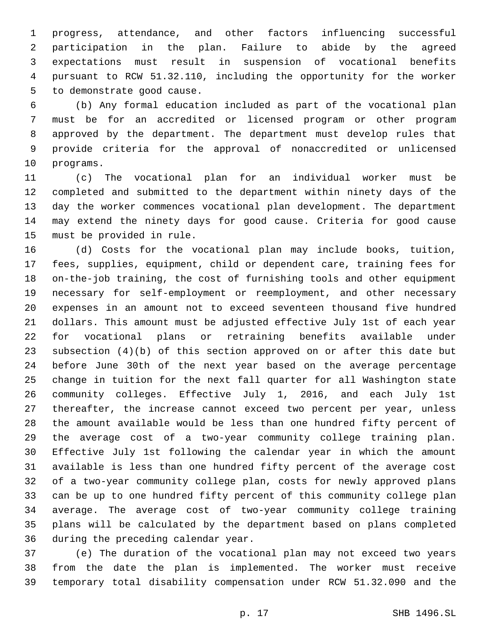progress, attendance, and other factors influencing successful participation in the plan. Failure to abide by the agreed expectations must result in suspension of vocational benefits pursuant to RCW 51.32.110, including the opportunity for the worker 5 to demonstrate good cause.

 (b) Any formal education included as part of the vocational plan must be for an accredited or licensed program or other program approved by the department. The department must develop rules that provide criteria for the approval of nonaccredited or unlicensed 10 programs.

 (c) The vocational plan for an individual worker must be completed and submitted to the department within ninety days of the day the worker commences vocational plan development. The department may extend the ninety days for good cause. Criteria for good cause 15 must be provided in rule.

 (d) Costs for the vocational plan may include books, tuition, fees, supplies, equipment, child or dependent care, training fees for on-the-job training, the cost of furnishing tools and other equipment necessary for self-employment or reemployment, and other necessary expenses in an amount not to exceed seventeen thousand five hundred dollars. This amount must be adjusted effective July 1st of each year for vocational plans or retraining benefits available under subsection (4)(b) of this section approved on or after this date but before June 30th of the next year based on the average percentage change in tuition for the next fall quarter for all Washington state community colleges. Effective July 1, 2016, and each July 1st thereafter, the increase cannot exceed two percent per year, unless the amount available would be less than one hundred fifty percent of the average cost of a two-year community college training plan. Effective July 1st following the calendar year in which the amount available is less than one hundred fifty percent of the average cost of a two-year community college plan, costs for newly approved plans can be up to one hundred fifty percent of this community college plan average. The average cost of two-year community college training plans will be calculated by the department based on plans completed 36 during the preceding calendar year.

 (e) The duration of the vocational plan may not exceed two years from the date the plan is implemented. The worker must receive temporary total disability compensation under RCW 51.32.090 and the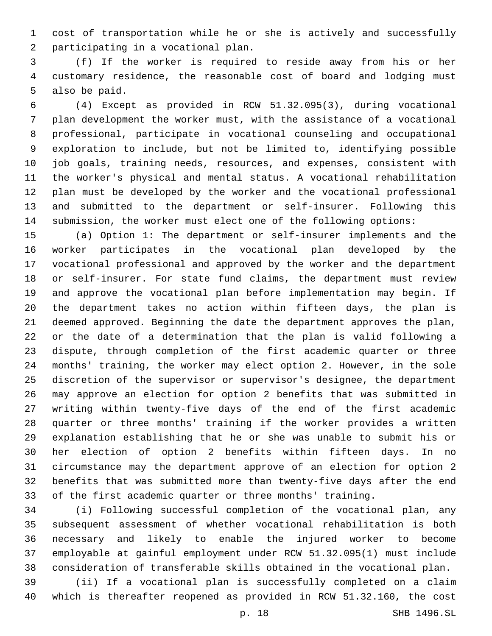cost of transportation while he or she is actively and successfully 2 participating in a vocational plan.

 (f) If the worker is required to reside away from his or her customary residence, the reasonable cost of board and lodging must 5 also be paid.

 (4) Except as provided in RCW 51.32.095(3), during vocational plan development the worker must, with the assistance of a vocational professional, participate in vocational counseling and occupational exploration to include, but not be limited to, identifying possible job goals, training needs, resources, and expenses, consistent with the worker's physical and mental status. A vocational rehabilitation plan must be developed by the worker and the vocational professional and submitted to the department or self-insurer. Following this submission, the worker must elect one of the following options:

 (a) Option 1: The department or self-insurer implements and the worker participates in the vocational plan developed by the vocational professional and approved by the worker and the department or self-insurer. For state fund claims, the department must review and approve the vocational plan before implementation may begin. If the department takes no action within fifteen days, the plan is deemed approved. Beginning the date the department approves the plan, or the date of a determination that the plan is valid following a dispute, through completion of the first academic quarter or three months' training, the worker may elect option 2. However, in the sole discretion of the supervisor or supervisor's designee, the department may approve an election for option 2 benefits that was submitted in writing within twenty-five days of the end of the first academic quarter or three months' training if the worker provides a written explanation establishing that he or she was unable to submit his or her election of option 2 benefits within fifteen days. In no circumstance may the department approve of an election for option 2 benefits that was submitted more than twenty-five days after the end of the first academic quarter or three months' training.

 (i) Following successful completion of the vocational plan, any subsequent assessment of whether vocational rehabilitation is both necessary and likely to enable the injured worker to become employable at gainful employment under RCW 51.32.095(1) must include consideration of transferable skills obtained in the vocational plan.

 (ii) If a vocational plan is successfully completed on a claim which is thereafter reopened as provided in RCW 51.32.160, the cost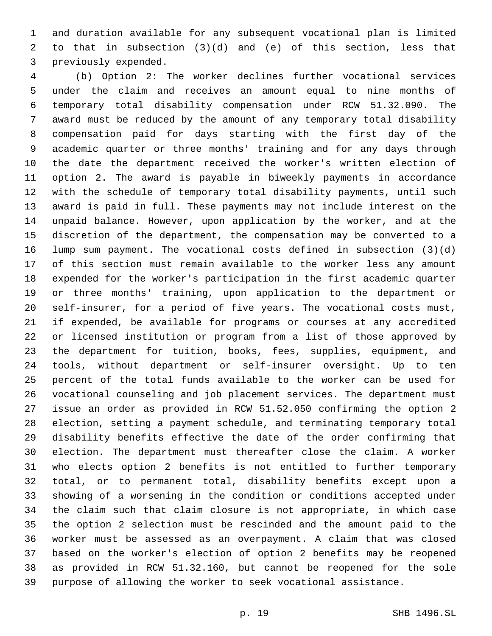and duration available for any subsequent vocational plan is limited to that in subsection (3)(d) and (e) of this section, less that 3 previously expended.

 (b) Option 2: The worker declines further vocational services under the claim and receives an amount equal to nine months of temporary total disability compensation under RCW 51.32.090. The award must be reduced by the amount of any temporary total disability compensation paid for days starting with the first day of the academic quarter or three months' training and for any days through the date the department received the worker's written election of option 2. The award is payable in biweekly payments in accordance with the schedule of temporary total disability payments, until such award is paid in full. These payments may not include interest on the unpaid balance. However, upon application by the worker, and at the discretion of the department, the compensation may be converted to a lump sum payment. The vocational costs defined in subsection (3)(d) of this section must remain available to the worker less any amount expended for the worker's participation in the first academic quarter or three months' training, upon application to the department or self-insurer, for a period of five years. The vocational costs must, if expended, be available for programs or courses at any accredited or licensed institution or program from a list of those approved by the department for tuition, books, fees, supplies, equipment, and tools, without department or self-insurer oversight. Up to ten percent of the total funds available to the worker can be used for vocational counseling and job placement services. The department must issue an order as provided in RCW 51.52.050 confirming the option 2 election, setting a payment schedule, and terminating temporary total disability benefits effective the date of the order confirming that election. The department must thereafter close the claim. A worker who elects option 2 benefits is not entitled to further temporary total, or to permanent total, disability benefits except upon a showing of a worsening in the condition or conditions accepted under the claim such that claim closure is not appropriate, in which case the option 2 selection must be rescinded and the amount paid to the worker must be assessed as an overpayment. A claim that was closed based on the worker's election of option 2 benefits may be reopened as provided in RCW 51.32.160, but cannot be reopened for the sole purpose of allowing the worker to seek vocational assistance.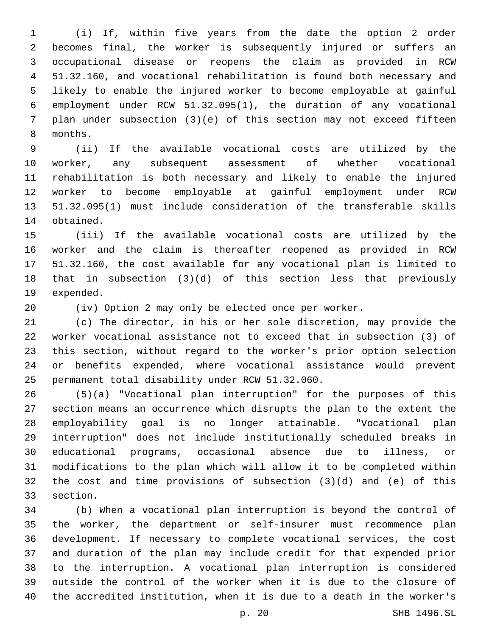(i) If, within five years from the date the option 2 order becomes final, the worker is subsequently injured or suffers an occupational disease or reopens the claim as provided in RCW 51.32.160, and vocational rehabilitation is found both necessary and likely to enable the injured worker to become employable at gainful employment under RCW 51.32.095(1), the duration of any vocational plan under subsection (3)(e) of this section may not exceed fifteen 8 months.

 (ii) If the available vocational costs are utilized by the worker, any subsequent assessment of whether vocational rehabilitation is both necessary and likely to enable the injured worker to become employable at gainful employment under RCW 51.32.095(1) must include consideration of the transferable skills 14 obtained.

 (iii) If the available vocational costs are utilized by the worker and the claim is thereafter reopened as provided in RCW 51.32.160, the cost available for any vocational plan is limited to that in subsection (3)(d) of this section less that previously 19 expended.

(iv) Option 2 may only be elected once per worker.

 (c) The director, in his or her sole discretion, may provide the worker vocational assistance not to exceed that in subsection (3) of this section, without regard to the worker's prior option selection or benefits expended, where vocational assistance would prevent 25 permanent total disability under RCW 51.32.060.

 (5)(a) "Vocational plan interruption" for the purposes of this section means an occurrence which disrupts the plan to the extent the employability goal is no longer attainable. "Vocational plan interruption" does not include institutionally scheduled breaks in educational programs, occasional absence due to illness, or modifications to the plan which will allow it to be completed within the cost and time provisions of subsection (3)(d) and (e) of this 33 section.

 (b) When a vocational plan interruption is beyond the control of the worker, the department or self-insurer must recommence plan development. If necessary to complete vocational services, the cost and duration of the plan may include credit for that expended prior to the interruption. A vocational plan interruption is considered outside the control of the worker when it is due to the closure of the accredited institution, when it is due to a death in the worker's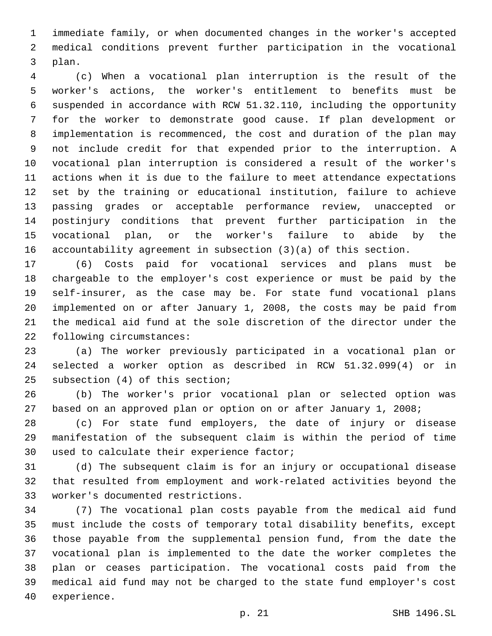immediate family, or when documented changes in the worker's accepted medical conditions prevent further participation in the vocational 3 plan.

 (c) When a vocational plan interruption is the result of the worker's actions, the worker's entitlement to benefits must be suspended in accordance with RCW 51.32.110, including the opportunity for the worker to demonstrate good cause. If plan development or implementation is recommenced, the cost and duration of the plan may not include credit for that expended prior to the interruption. A vocational plan interruption is considered a result of the worker's actions when it is due to the failure to meet attendance expectations set by the training or educational institution, failure to achieve passing grades or acceptable performance review, unaccepted or postinjury conditions that prevent further participation in the vocational plan, or the worker's failure to abide by the accountability agreement in subsection (3)(a) of this section.

 (6) Costs paid for vocational services and plans must be chargeable to the employer's cost experience or must be paid by the self-insurer, as the case may be. For state fund vocational plans implemented on or after January 1, 2008, the costs may be paid from the medical aid fund at the sole discretion of the director under the 22 following circumstances:

 (a) The worker previously participated in a vocational plan or selected a worker option as described in RCW 51.32.099(4) or in 25 subsection (4) of this section;

 (b) The worker's prior vocational plan or selected option was based on an approved plan or option on or after January 1, 2008;

 (c) For state fund employers, the date of injury or disease manifestation of the subsequent claim is within the period of time 30 used to calculate their experience factor;

 (d) The subsequent claim is for an injury or occupational disease that resulted from employment and work-related activities beyond the worker's documented restrictions.33

 (7) The vocational plan costs payable from the medical aid fund must include the costs of temporary total disability benefits, except those payable from the supplemental pension fund, from the date the vocational plan is implemented to the date the worker completes the plan or ceases participation. The vocational costs paid from the medical aid fund may not be charged to the state fund employer's cost 40 experience.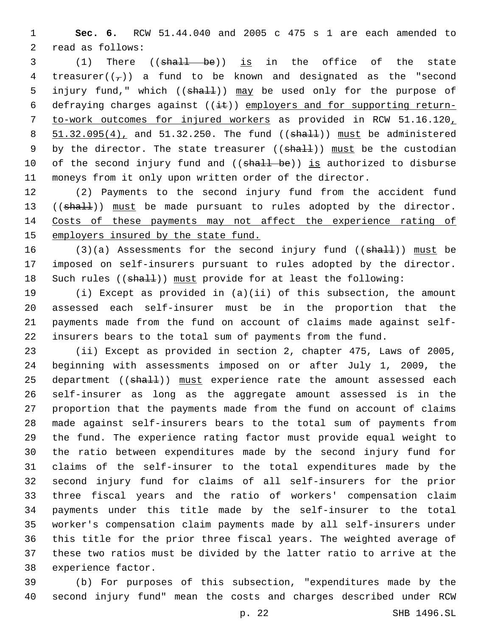**Sec. 6.** RCW 51.44.040 and 2005 c 475 s 1 are each amended to 2 read as follows:

 (1) There ((shall be)) is in the office of the state 4 treasurer( $(\tau)$ ) a fund to be known and designated as the "second 5 injury fund," which ((shall)) may be used only for the purpose of 6 defraying charges against  $((i\text{#}))$  employers and for supporting return- to-work outcomes for injured workers as provided in RCW 51.16.120, 8 51.32.095(4), and 51.32.250. The fund ((shall)) must be administered 9 by the director. The state treasurer  $((shall))$  must be the custodian 10 of the second injury fund and ((shall be)) is authorized to disburse moneys from it only upon written order of the director.

 (2) Payments to the second injury fund from the accident fund 13 ((shall)) must be made pursuant to rules adopted by the director. Costs of these payments may not affect the experience rating of employers insured by the state fund.

16 (3)(a) Assessments for the second injury fund  $((shall))$  must be imposed on self-insurers pursuant to rules adopted by the director. 18 Such rules ((shall)) must provide for at least the following:

 (i) Except as provided in (a)(ii) of this subsection, the amount assessed each self-insurer must be in the proportion that the payments made from the fund on account of claims made against self-insurers bears to the total sum of payments from the fund.

 (ii) Except as provided in section 2, chapter 475, Laws of 2005, beginning with assessments imposed on or after July 1, 2009, the 25 department ((shall)) must experience rate the amount assessed each self-insurer as long as the aggregate amount assessed is in the proportion that the payments made from the fund on account of claims made against self-insurers bears to the total sum of payments from the fund. The experience rating factor must provide equal weight to the ratio between expenditures made by the second injury fund for claims of the self-insurer to the total expenditures made by the second injury fund for claims of all self-insurers for the prior three fiscal years and the ratio of workers' compensation claim payments under this title made by the self-insurer to the total worker's compensation claim payments made by all self-insurers under this title for the prior three fiscal years. The weighted average of these two ratios must be divided by the latter ratio to arrive at the 38 experience factor.

 (b) For purposes of this subsection, "expenditures made by the second injury fund" mean the costs and charges described under RCW